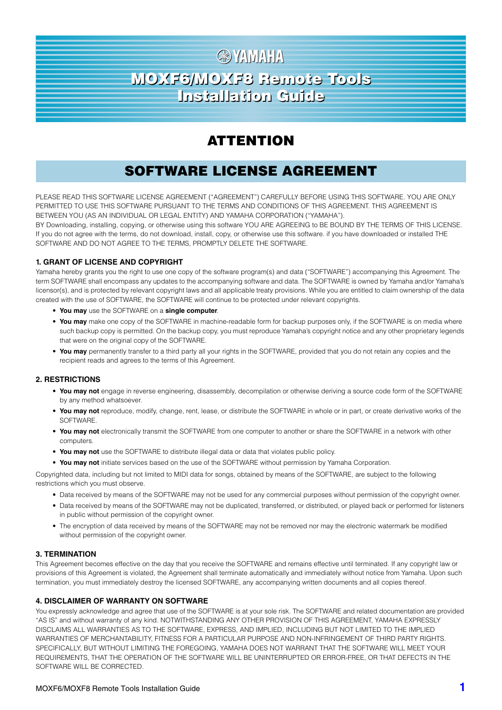# **图 YAMAHA** MOXF6/MOXF8 Remote Tools MOXF6/MOXF8 Remote Tools Installation Guide Installation Guide

## ATTENTION

## SOFTWARE LICENSE AGREEMENT

PLEASE READ THIS SOFTWARE LICENSE AGREEMENT ("AGREEMENT") CAREFULLY BEFORE USING THIS SOFTWARE. YOU ARE ONLY PERMITTED TO USE THIS SOFTWARE PURSUANT TO THE TERMS AND CONDITIONS OF THIS AGREEMENT. THIS AGREEMENT IS BETWEEN YOU (AS AN INDIVIDUAL OR LEGAL ENTITY) AND YAMAHA CORPORATION ("YAMAHA").

BY Downloading, installing, copying, or otherwise using this software YOU ARE AGREEING to BE BOUND BY THE TERMS OF THIS LICENSE. If you do not agree with the terms, do not download, install, copy, or otherwise use this software. if you have downloaded or installed THE SOFTWARE AND DO NOT AGREE TO THE TERMS, PROMPTLY DELETE THE SOFTWARE.

### **1. GRANT OF LICENSE AND COPYRIGHT**

Yamaha hereby grants you the right to use one copy of the software program(s) and data ("SOFTWARE") accompanying this Agreement. The term SOFTWARE shall encompass any updates to the accompanying software and data. The SOFTWARE is owned by Yamaha and/or Yamaha's licensor(s), and is protected by relevant copyright laws and all applicable treaty provisions. While you are entitled to claim ownership of the data created with the use of SOFTWARE, the SOFTWARE will continue to be protected under relevant copyrights.

- **You may** use the SOFTWARE on a **single computer**.
- **You may** make one copy of the SOFTWARE in machine-readable form for backup purposes only, if the SOFTWARE is on media where such backup copy is permitted. On the backup copy, you must reproduce Yamaha's copyright notice and any other proprietary legends that were on the original copy of the SOFTWARE.
- **You may** permanently transfer to a third party all your rights in the SOFTWARE, provided that you do not retain any copies and the recipient reads and agrees to the terms of this Agreement.

#### **2. RESTRICTIONS**

- **You may not** engage in reverse engineering, disassembly, decompilation or otherwise deriving a source code form of the SOFTWARE by any method whatsoever.
- **You may not** reproduce, modify, change, rent, lease, or distribute the SOFTWARE in whole or in part, or create derivative works of the **SOFTWARE**
- **You may not** electronically transmit the SOFTWARE from one computer to another or share the SOFTWARE in a network with other computers.
- **You may not** use the SOFTWARE to distribute illegal data or data that violates public policy.
- **You may not** initiate services based on the use of the SOFTWARE without permission by Yamaha Corporation.

Copyrighted data, including but not limited to MIDI data for songs, obtained by means of the SOFTWARE, are subject to the following restrictions which you must observe.

- Data received by means of the SOFTWARE may not be used for any commercial purposes without permission of the copyright owner.
- Data received by means of the SOFTWARE may not be duplicated, transferred, or distributed, or played back or performed for listeners in public without permission of the copyright owner.
- The encryption of data received by means of the SOFTWARE may not be removed nor may the electronic watermark be modified without permission of the copyright owner.

#### **3. TERMINATION**

This Agreement becomes effective on the day that you receive the SOFTWARE and remains effective until terminated. If any copyright law or provisions of this Agreement is violated, the Agreement shall terminate automatically and immediately without notice from Yamaha. Upon such termination, you must immediately destroy the licensed SOFTWARE, any accompanying written documents and all copies thereof.

#### **4. DISCLAIMER OF WARRANTY ON SOFTWARE**

You expressly acknowledge and agree that use of the SOFTWARE is at your sole risk. The SOFTWARE and related documentation are provided "AS IS" and without warranty of any kind. NOTWITHSTANDING ANY OTHER PROVISION OF THIS AGREEMENT, YAMAHA EXPRESSLY DISCLAIMS ALL WARRANTIES AS TO THE SOFTWARE, EXPRESS, AND IMPLIED, INCLUDING BUT NOT LIMITED TO THE IMPLIED WARRANTIES OF MERCHANTABILITY, FITNESS FOR A PARTICULAR PURPOSE AND NON-INFRINGEMENT OF THIRD PARTY RIGHTS. SPECIFICALLY, BUT WITHOUT LIMITING THE FOREGOING, YAMAHA DOES NOT WARRANT THAT THE SOFTWARE WILL MEET YOUR REQUIREMENTS, THAT THE OPERATION OF THE SOFTWARE WILL BE UNINTERRUPTED OR ERROR-FREE, OR THAT DEFECTS IN THE SOFTWARE WILL BE CORRECTED.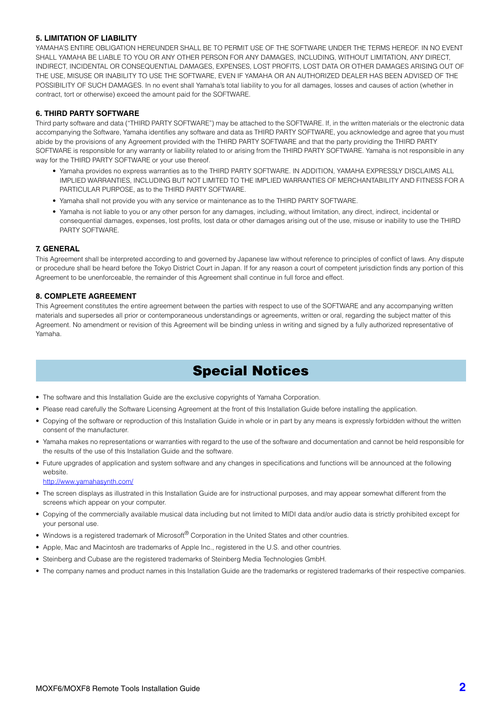#### **5. LIMITATION OF LIABILITY**

YAMAHA'S ENTIRE OBLIGATION HEREUNDER SHALL BE TO PERMIT USE OF THE SOFTWARE UNDER THE TERMS HEREOF. IN NO EVENT SHALL YAMAHA BE LIABLE TO YOU OR ANY OTHER PERSON FOR ANY DAMAGES, INCLUDING, WITHOUT LIMITATION, ANY DIRECT, INDIRECT, INCIDENTAL OR CONSEQUENTIAL DAMAGES, EXPENSES, LOST PROFITS, LOST DATA OR OTHER DAMAGES ARISING OUT OF THE USE, MISUSE OR INABILITY TO USE THE SOFTWARE, EVEN IF YAMAHA OR AN AUTHORIZED DEALER HAS BEEN ADVISED OF THE POSSIBILITY OF SUCH DAMAGES. In no event shall Yamaha's total liability to you for all damages, losses and causes of action (whether in contract, tort or otherwise) exceed the amount paid for the SOFTWARE.

### **6. THIRD PARTY SOFTWARE**

Third party software and data ("THIRD PARTY SOFTWARE") may be attached to the SOFTWARE. If, in the written materials or the electronic data accompanying the Software, Yamaha identifies any software and data as THIRD PARTY SOFTWARE, you acknowledge and agree that you must abide by the provisions of any Agreement provided with the THIRD PARTY SOFTWARE and that the party providing the THIRD PARTY SOFTWARE is responsible for any warranty or liability related to or arising from the THIRD PARTY SOFTWARE. Yamaha is not responsible in any way for the THIRD PARTY SOFTWARE or your use thereof.

- Yamaha provides no express warranties as to the THIRD PARTY SOFTWARE. IN ADDITION, YAMAHA EXPRESSLY DISCLAIMS ALL IMPLIED WARRANTIES, INCLUDING BUT NOT LIMITED TO THE IMPLIED WARRANTIES OF MERCHANTABILITY AND FITNESS FOR A PARTICULAR PURPOSE, as to the THIRD PARTY SOFTWARE.
- Yamaha shall not provide you with any service or maintenance as to the THIRD PARTY SOFTWARE.
- Yamaha is not liable to you or any other person for any damages, including, without limitation, any direct, indirect, incidental or consequential damages, expenses, lost profits, lost data or other damages arising out of the use, misuse or inability to use the THIRD PARTY SOFTWARE.

#### **7. GENERAL**

This Agreement shall be interpreted according to and governed by Japanese law without reference to principles of conflict of laws. Any dispute or procedure shall be heard before the Tokyo District Court in Japan. If for any reason a court of competent jurisdiction finds any portion of this Agreement to be unenforceable, the remainder of this Agreement shall continue in full force and effect.

#### **8. COMPLETE AGREEMENT**

This Agreement constitutes the entire agreement between the parties with respect to use of the SOFTWARE and any accompanying written materials and supersedes all prior or contemporaneous understandings or agreements, written or oral, regarding the subject matter of this Agreement. No amendment or revision of this Agreement will be binding unless in writing and signed by a fully authorized representative of Yamaha.

## Special Notices

- The software and this Installation Guide are the exclusive copyrights of Yamaha Corporation.
- Please read carefully the Software Licensing Agreement at the front of this Installation Guide before installing the application.
- Copying of the software or reproduction of this Installation Guide in whole or in part by any means is expressly forbidden without the written consent of the manufacturer.
- Yamaha makes no representations or warranties with regard to the use of the software and documentation and cannot be held responsible for the results of the use of this Installation Guide and the software.
- Future upgrades of application and system software and any changes in specifications and functions will be announced at the following website.

http://www.yamahasynth.com/

- The screen displays as illustrated in this Installation Guide are for instructional purposes, and may appear somewhat different from the screens which appear on your computer.
- Copying of the commercially available musical data including but not limited to MIDI data and/or audio data is strictly prohibited except for your personal use.
- Windows is a registered trademark of Microsoft® Corporation in the United States and other countries.
- Apple, Mac and Macintosh are trademarks of Apple Inc., registered in the U.S. and other countries.
- Steinberg and Cubase are the registered trademarks of Steinberg Media Technologies GmbH.
- The company names and product names in this Installation Guide are the trademarks or registered trademarks of their respective companies.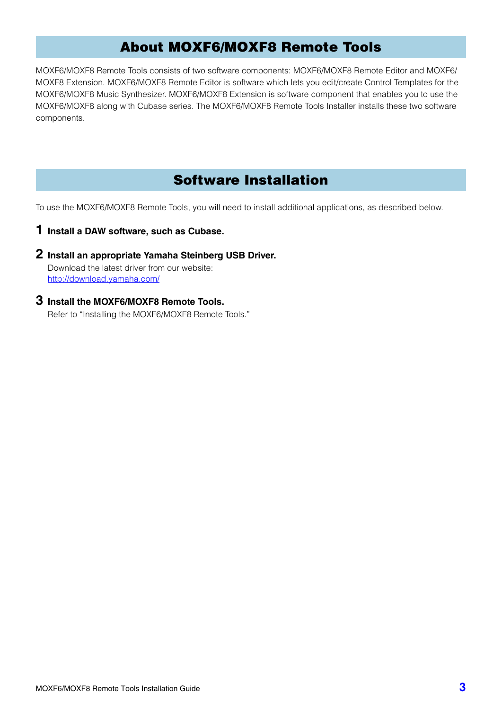## About MOXF6/MOXF8 Remote Tools

MOXF6/MOXF8 Remote Tools consists of two software components: MOXF6/MOXF8 Remote Editor and MOXF6/ MOXF8 Extension. MOXF6/MOXF8 Remote Editor is software which lets you edit/create Control Templates for the MOXF6/MOXF8 Music Synthesizer. MOXF6/MOXF8 Extension is software component that enables you to use the MOXF6/MOXF8 along with Cubase series. The MOXF6/MOXF8 Remote Tools Installer installs these two software components.

## Software Installation

To use the MOXF6/MOXF8 Remote Tools, you will need to install additional applications, as described below.

- **1 Install a DAW software, such as Cubase.**
- **2 Install an appropriate Yamaha Steinberg USB Driver.**  Download the latest driver from our website: http://download.yamaha.com/
- **3 Install the MOXF6/MOXF8 Remote Tools.** Refer to "Installing the MOXF6/MOXF8 Remote Tools."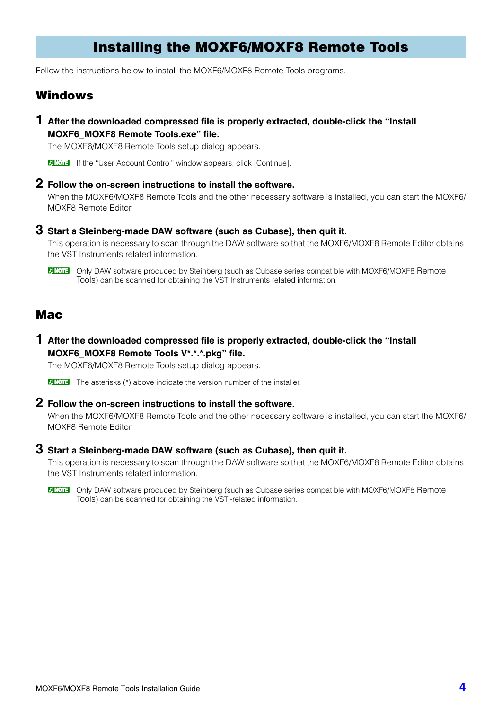## Installing the MOXF6/MOXF8 Remote Tools

Follow the instructions below to install the MOXF6/MOXF8 Remote Tools programs.

### Windows

**1 After the downloaded compressed file is properly extracted, double-click the "Install MOXF6\_MOXF8 Remote Tools.exe" file.**

The MOXF6/MOXF8 Remote Tools setup dialog appears.

**DINOTE** If the "User Account Control" window appears, click [Continue].

### **2 Follow the on-screen instructions to install the software.**

When the MOXF6/MOXF8 Remote Tools and the other necessary software is installed, you can start the MOXF6/ MOXF8 Remote Editor.

### **3 Start a Steinberg-made DAW software (such as Cubase), then quit it.**

This operation is necessary to scan through the DAW software so that the MOXF6/MOXF8 Remote Editor obtains the VST Instruments related information.

**DINICITE** Only DAW software produced by Steinberg (such as Cubase series compatible with MOXF6/MOXF8 Remote Tools) can be scanned for obtaining the VST Instruments related information.

### Mac

**1 After the downloaded compressed file is properly extracted, double-click the "Install MOXF6\_MOXF8 Remote Tools V\*.\*.\*.pkg" file.**

The MOXF6/MOXF8 Remote Tools setup dialog appears.

**DNOTE** The asterisks (\*) above indicate the version number of the installer.

### **2 Follow the on-screen instructions to install the software.**

When the MOXF6/MOXF8 Remote Tools and the other necessary software is installed, you can start the MOXF6/ MOXF8 Remote Editor.

### **3 Start a Steinberg-made DAW software (such as Cubase), then quit it.**

This operation is necessary to scan through the DAW software so that the MOXF6/MOXF8 Remote Editor obtains the VST Instruments related information.

**DINGHET Only DAW software produced by Steinberg (such as Cubase series compatible with MOXF6/MOXF8 Remote** Tools) can be scanned for obtaining the VSTi-related information.